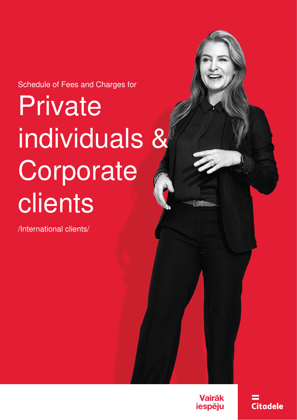Schedule of Fees and Charges for

Private individuals & **Corporate** clients

/International clients/

Vairāk **iespēju**  **Citadele**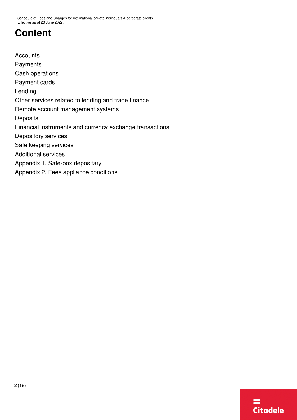# **Content**

**[Accounts](#page-2-0) [Payments](#page-3-0)** [Cash operations](#page-4-0) [Payment cards](#page-5-0) [Lending](#page-8-0) [Other services related to lending and trade finance](#page-10-0) [Remote account management systems](#page-11-0) **[Deposits](#page-11-1)** [Financial instruments and currency exchange transactions](#page-12-0) [Depository services](#page-13-0) [Safe keeping services](#page-14-0) [Additional services](#page-14-1) [Appendix 1. Safe-box depositary](#page-15-0) [Appendix 2. Fees appliance conditions](#page-16-0)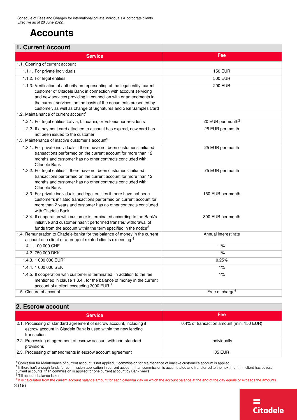# <span id="page-2-2"></span><span id="page-2-0"></span>**Accounts**

### **1. Current Account**

<span id="page-2-3"></span><span id="page-2-1"></span>

| <b>Service</b>                                                                                                                                                                                                                                                                                                                                                                                               | Fee                           |
|--------------------------------------------------------------------------------------------------------------------------------------------------------------------------------------------------------------------------------------------------------------------------------------------------------------------------------------------------------------------------------------------------------------|-------------------------------|
| 1.1. Opening of current account                                                                                                                                                                                                                                                                                                                                                                              |                               |
| 1.1.1. For private individuals                                                                                                                                                                                                                                                                                                                                                                               | <b>150 EUR</b>                |
| 1.1.2. For legal entities                                                                                                                                                                                                                                                                                                                                                                                    | <b>500 EUR</b>                |
| 1.1.3. Verification of authority on representing of the legal entity, curent<br>customer of Citadele Bank in connection with account servicing<br>and new services providing in connection with or amendments in<br>the current services, on the basis of the documents presented by<br>customer, as well as change of Signatures and Seal Samples Card<br>1.2. Maintainance of current account <sup>1</sup> | <b>200 EUR</b>                |
|                                                                                                                                                                                                                                                                                                                                                                                                              |                               |
| 1.2.1. For legal entities Latvia, Lithuania, or Estonia non-residents                                                                                                                                                                                                                                                                                                                                        | 20 EUR per month <sup>2</sup> |
| 1.2.2. If a payment card attached to account has expired, new card has<br>not been issued to the customer                                                                                                                                                                                                                                                                                                    | 25 EUR per month              |
| 1.3. Maintenance of inactive customer's account <sup>3</sup>                                                                                                                                                                                                                                                                                                                                                 |                               |
| 1.3.1. For private individuals if there have not been customer's initiated<br>transactions performed on the current account for more than 12<br>months and customer has no other contracts concluded with<br>Citadele Bank                                                                                                                                                                                   | 25 EUR per month              |
| 1.3.2. For legal entities if there have not been customer's initiated<br>transactions performed on the current account for more than 12<br>months and customer has no other contracts concluded with<br>Citadele Bank                                                                                                                                                                                        | 75 EUR per month              |
| 1.3.3. For private individuals and legal entities if there have not been<br>customer's initiated transactions performed on current account for<br>more than 2 years and customer has no other contracts concluded<br>with Citadele Bank                                                                                                                                                                      | 150 EUR per month             |
| 1.3.4. If cooperation with customer is terminated according to the Bank's<br>initiative and customer hasn't performed transfer/ withdrawal of<br>funds from the account within the term specified in the notice <sup>5</sup>                                                                                                                                                                                 | 300 EUR per month             |
| 1.4. Remuneration to Citadele banka for the balance of money in the current<br>account of a client or a group of related clients exceeding: <sup>4</sup>                                                                                                                                                                                                                                                     | Annual interest rate          |
| 1.4.1. 100 000 CHF                                                                                                                                                                                                                                                                                                                                                                                           | 1%                            |
| 1.4.2. 750 000 DKK                                                                                                                                                                                                                                                                                                                                                                                           | 1%                            |
| 1.4.3. 1 000 000 EUR <sup>5</sup>                                                                                                                                                                                                                                                                                                                                                                            | 0,25%                         |
| 1.4.4. 1 000 000 SEK                                                                                                                                                                                                                                                                                                                                                                                         | 1%                            |
| 1.4.5. If cooperation with customer is terminated, in addition to the fee<br>mentioned in clause 1.3.4., for the balance of money in the current<br>account of a client exceeding 3000 EUR <sup>5</sup>                                                                                                                                                                                                      | 1%                            |
| 1.5. Closure of account                                                                                                                                                                                                                                                                                                                                                                                      | Free of charge <sup>6</sup>   |

#### <span id="page-2-6"></span><span id="page-2-5"></span><span id="page-2-4"></span>**2. Escrow account**

| <b>Service</b>                                                                                                                                         | <b>Fee</b>                                |
|--------------------------------------------------------------------------------------------------------------------------------------------------------|-------------------------------------------|
| 2.1. Processing of standard agreement of escrow account, including if<br>escrow account in Citadele Bank is used within the new lending<br>transaction | 0.4% of transaction amount (min. 150 EUR) |
| 2.2. Processing of agreement of escrow account with non-standard<br>provisions                                                                         | Individually                              |
| 2.3. Processing of amendments in escrow account agreement                                                                                              | 35 EUR                                    |

<sup>1</sup> Comission for Maintenance of current account is not applied, if commission for Maintenance of inactive customer's account is applied.

<sup>2</sup> If there isn't enough funds for commission application in current account, than commission is accumulated and transferred to the next month. If client has several<br>current accounts, than commission is applied for one cu

[<sup>4</sup>](#page-2-4) It is calculated from the current account balance amount for each calendar day on which the account balance at the end of the day equals or exceeds the amounts 3 (19)

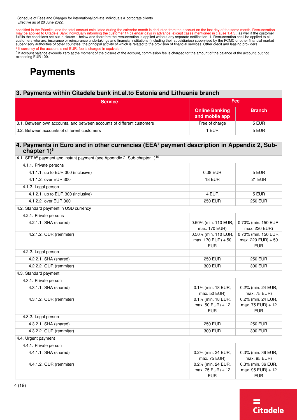<span id="page-3-1"></span>specified in the Pricelist, and the total amount calculated during the calendar month is deducted from the account on the last day of the same month. Remuneration<br>fulfills the conditions set out in claimed the matter of th supervisory authorities of other countries, the principal activity of which is related to the provision of financial services; Other credit and leasing providers. [5](#page-2-5) If currency of the account is not EUR, fee is charged in equivalent.

<sup>6</sup> If account balance exceeds zero at the moment of the closure of the account, commission fee is charged for the amount of the balance of the account, but not<br>exceeding EUR 100.

## <span id="page-3-0"></span>**Payments**

### **3. Payments within Citadele bank int.al.to Estonia and Lithuania branch**

| <b>Service</b>                                                         | Fee                                     |               |
|------------------------------------------------------------------------|-----------------------------------------|---------------|
|                                                                        | <b>Online Banking</b><br>and mobile app | <b>Branch</b> |
| 3.1. Between own accounts, and between accounts of different customers | Free of charge                          | 5 EUR         |
| 3.2. Between accounts of different customers                           | 1 FUR.                                  | 5 EUR         |

#### <span id="page-3-5"></span><span id="page-3-3"></span><span id="page-3-2"></span>**4. Payments in Euro and in other currencies (EE[A](#page-4-1) payment description in Appendix 2, Subchapter 1) 7 [8](#page-4-1)**

<span id="page-3-4"></span>

| 4.1. SEPA <sup>9</sup> payment and instant payment (see Appendix 2, Sub-chapter $1$ ) <sup>10</sup> |                                                                                                                      |                                                       |  |
|-----------------------------------------------------------------------------------------------------|----------------------------------------------------------------------------------------------------------------------|-------------------------------------------------------|--|
| 4.1.1. Private persons                                                                              |                                                                                                                      |                                                       |  |
| 4.1.1.1. up to EUR 300 (inclusive)                                                                  | 0.38 EUR                                                                                                             | 5 EUR                                                 |  |
| 4.1.1.2. over EUR 300                                                                               | 18 EUR                                                                                                               | 21 EUR                                                |  |
| 4.1.2. Legal person                                                                                 |                                                                                                                      |                                                       |  |
| 4.1.2.1. up to EUR 300 (inclusive)                                                                  | 4 EUR<br>5 EUR                                                                                                       |                                                       |  |
| 4.1.2.2. over EUR 300                                                                               | <b>250 EUR</b><br><b>250 EUR</b>                                                                                     |                                                       |  |
| 4.2. Standard payment in USD currency                                                               |                                                                                                                      |                                                       |  |
| 4.2.1. Private persons                                                                              |                                                                                                                      |                                                       |  |
| 4.2.1.1. SHA (shared)                                                                               | 0.50% (min. 110 EUR,<br>0.70% (min. 150 EUR,<br>max. 170 EUR)<br>max. 220 EUR)                                       |                                                       |  |
| 4.2.1.2. OUR (remmiter)                                                                             | 0.50% (min. 110 EUR,<br>0.70% (min. 150 EUR,<br>max. 170 EUR) + 50<br>max. 220 EUR) + 50<br><b>EUR</b><br><b>EUR</b> |                                                       |  |
| 4.2.2. Legal person                                                                                 |                                                                                                                      |                                                       |  |
| 4.2.2.1. SHA (shared)                                                                               | <b>250 EUR</b>                                                                                                       | <b>250 EUR</b>                                        |  |
| 4.2.2.2. OUR (remmiter)                                                                             | <b>300 EUR</b><br><b>300 EUR</b>                                                                                     |                                                       |  |
| 4.3. Standard payment                                                                               |                                                                                                                      |                                                       |  |
| 4.3.1. Private person                                                                               |                                                                                                                      |                                                       |  |
| 4.3.1.1. SHA (shared)                                                                               | 0.1% (min. 18 EUR,<br>max. 50 EUR)                                                                                   | 0.2% (min. 24 EUR,<br>max. 75 EUR)                    |  |
| 4.3.1.2. OUR (remmiter)                                                                             | 0.1% (min. 18 EUR,<br>0.2% (min. 24 EUR,<br>max. 50 EUR) + 12<br>max. 75 EUR) + 12<br><b>EUR</b><br><b>EUR</b>       |                                                       |  |
| 4.3.2. Legal person                                                                                 |                                                                                                                      |                                                       |  |
| 4.3.2.1. SHA (shared)                                                                               | <b>250 EUR</b><br><b>250 EUR</b>                                                                                     |                                                       |  |
| 4.3.2.2. OUR (remmiter)                                                                             | 300 EUR<br>300 EUR                                                                                                   |                                                       |  |
| 4.4. Urgent payment                                                                                 |                                                                                                                      |                                                       |  |
| 4.4.1. Private person                                                                               |                                                                                                                      |                                                       |  |
| 4.4.1.1. SHA (shared)                                                                               | 0.2% (min. 24 EUR,<br>max. 75 EUR)                                                                                   | 0.3% (min. 36 EUR,<br>max. 95 EUR)                    |  |
| 4.4.1.2. OUR (remmiter)                                                                             | 0.2% (min. 24 EUR,<br>max. 75 EUR) + 12<br><b>EUR</b>                                                                | 0.3% (min. 36 EUR,<br>max. 95 EUR) + 12<br><b>EUR</b> |  |

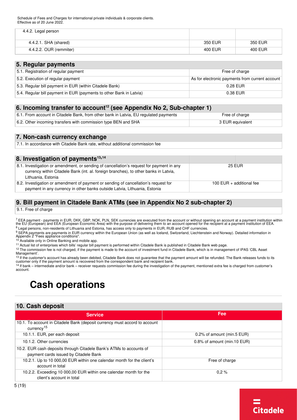| 4.4.2. Legal person     |         |         |
|-------------------------|---------|---------|
| 4.4.2.1. SHA (shared)   | 350 EUR | 350 EUR |
| 4.4.2.2. OUR (remmiter) | 400 EUR | 400 EUR |

#### **5. Regular payments**

| 5.1. Registration of regular payment                                | Free of charge                                  |
|---------------------------------------------------------------------|-------------------------------------------------|
| 5.2. Execution of regular payment                                   | As for electronic payments from current account |
| 5.3. Regular bill payment in EUR (within Citadele Bank)             | 0.28 EUR                                        |
| 5.4. Regular bill payment in EUR (payments to other Bank in Latvia) | 0.38 EUR                                        |

### <span id="page-4-2"></span>**6. Incoming transfer to accoun[t](#page-4-1) (see Appendix No 2, Sub-chapter 1) <sup>12</sup>**

| 6.1. From account in Citadele Bank, from other bank in Latvia, EU regulated payments | Free of charge   |
|--------------------------------------------------------------------------------------|------------------|
| 6.2. Other incoming transfers with commission type BEN and SHA                       | 3 EUR equivalent |

### **7. Non-cash currency exchange**

<span id="page-4-4"></span><span id="page-4-3"></span>7.1. In accordance with Citadele Bank rate, without additional commission fee

| 8. Investigation of payments $13,14$                                                                                                                                                                   |                            |
|--------------------------------------------------------------------------------------------------------------------------------------------------------------------------------------------------------|----------------------------|
| 8.1. Investigation or amendment, or sending of cancellation's request for payment in any<br>currency within Citadele Bank (int. al. foreign branches), to other banks in Latvia,<br>Lithuania, Estonia | <b>25 EUR</b>              |
| 8.2. Investigation or amendment of payment or sending of cancellation's request for<br>payment in any currency in other banks outside Latvia, Lithuania, Estonia                                       | 100 EUR $+$ additional fee |

#### **9. Bill payment in Citadele Bank ATMs (see in Appendix No 2 sub-chapter 2)**

9.1. Free of charge

<span id="page-4-1"></span> $<sup>7</sup>$  EEA payment - payments in EUR, DKK, GBP, NOK, PLN, SEK currencies are executed from the account or without opening an account at a payment institution within</sup> the EU (European) and EEA (European Economic Area) with the purpose of delivering them to an account opened for the recipient at a payment institution of EEA. [8](#page-3-3) Legal persons, non-residents of Lithuania and Estonia, has access only to payments in EUR, RUB and CHF currencies.

[9](#page-3-4) SEPA payments are payments in EUR currency within the European Union (as well as Iceland, Switzerland, Liechtenstein and Norway). Detailed information in

Appendix 2 "Fees appliance conditions". [10](#page-3-5) Available only in Online Banking and mobile app.

11 Actual list of enterprises which bills' regular bill payment is performed within Citadele Bank is published in Citadele Bank web page.

<sup>12</sup> The commission fee is not charged, if the payment is made to the account of investment fund in Citadele Bank, which is in management of IPAS 'CBL Asset Management'.

 $13$  If the customer's account has already been debited, Citadele Bank does not guarantee that the payment amount will be refunded. The Bank releases funds to its customer only if the payment amount is recovered from the correspondent bank and recipient bank.

<sup>14</sup> If bank – intermediate and/or bank – receiver requests commission fee during the investigation of the payment, mentioned extra fee is charged from customer's account.

### <span id="page-4-0"></span>**Cash operations**

#### <span id="page-4-5"></span>**10. Cash deposit Service Fee** 10.1. To account in Citadele Bank (deposit currency must accord to account currency<sup>[15](#page-5-1)</sup> 10.1.1. EUR, per each deposit 0.2% of amount (min.5 EUR) 10.1.2. Other currencies 0.8% of amount (min.10 EUR) 10.2. EUR cash deposits through Citadele Bank's ATMs to accounts of payment cards issued by Citadele Bank 10.2.1. Up to 10 000,00 EUR within one calendar month for the client's account in total Free of charge 10.2.2. Exceeding 10 000,00 EUR within one calendar month for the client's account in total 0,2 %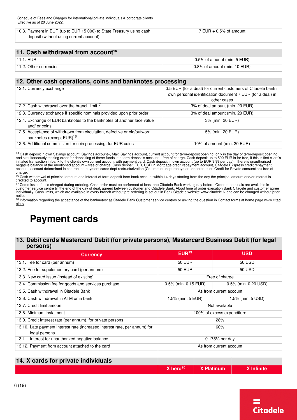| 10.3. Payment in EUR (up to EUR 15 000) to State Treasury using cash<br>deposit (without using current account) | $7$ EUR $+$ 0.5% of amount |
|-----------------------------------------------------------------------------------------------------------------|----------------------------|
|                                                                                                                 |                            |
| 11. Cash withdrawal from account <sup>16</sup>                                                                  |                            |

<span id="page-5-2"></span>

| 11.1. EUR              | 0.5% of amount (min. 5 EUR)  |
|------------------------|------------------------------|
| 11.2. Other currencies | 0.8% of amount (min. 10 EUR) |

### **12. Other cash operations, coins and banknotes processing**

<span id="page-5-3"></span>

| 12.1. Currency exchange                                                                                          | 3.5 EUR (for a deal) for current customers of Citadele bank if<br>own personal identification document 7 EUR (for a deal) in<br>other cases |
|------------------------------------------------------------------------------------------------------------------|---------------------------------------------------------------------------------------------------------------------------------------------|
| 12.2. Cash withdrawal over the branch limit <sup>17</sup>                                                        | 3% of deal amount (min. 20 EUR)                                                                                                             |
| 12.3. Currency exchange if specific nominals provided upon prior order                                           | 3% of deal amount (min. 20 EUR)                                                                                                             |
| 12.4. Exchange of EUR banknotes to the banknotes of another face value<br>and/ or coins                          | 3% (min. 20 EUR)                                                                                                                            |
| 12.5. Acceptance of withdrawn from circulation, defective or old/outworn<br>banknotes (except EUR) <sup>18</sup> | 5% (min. 20 EUR)                                                                                                                            |
| 12.6. Additional commission for coin processing, for EUR coins                                                   | 10% of amount (min. 20 EUR)                                                                                                                 |

<span id="page-5-4"></span><span id="page-5-1"></span><sup>15</sup> Cash deposit in own Savings account, Savings account+, Maxi Savings account, current account for term-deposit opening, only in the day of term-deposit opening and simultaneously making order for depositing of these funds into term-deposit's account – free of charge. Cash deposit up to 500 EUR is for free, if this is first client's<br>initiated transaction in bank to the client's ow negative balance of the mentioned account – free of charge. Cash deposit EUR, USD in Mortgage credit repayment account, Citadele Ekspress credit repayment account, account determined in contract on payment cards dept restructurization (Contract on dept repayment or contract on Credit for Private consumtion)-free of charge.

<sup>16</sup> Cash withdrawal of principal amount and interest of term deposit from bank account within 14 days starting from the day the principal amount and/or interest is credited to account.

<sup>17</sup> Commission fee is charged during ordering. Cash order must be performed at least one Citadele Bank working day before. Ordered nominals are available in<br>customer service centre till the end of the day of deal, agreed notice.

[18](#page-5-4) Information regarding the acceptance of the banknotes: at Citadele Bank Customer service centres or asking the question in Contact forms at home page www.citad ele.lv

# <span id="page-5-0"></span>**Payment cards**

#### **13. Debit cards Mastercard Debit (for private persons), Mastercard Business Debit (for legal persons)**

| <b>Currency</b>                                                                             | EUR <sup>19</sup>          | <b>USD</b>           |
|---------------------------------------------------------------------------------------------|----------------------------|----------------------|
| 13.1. Fee for card (per annum)                                                              | <b>50 EUR</b>              | 50 USD               |
| 13.2. Fee for supplementary card (per annum)                                                | <b>50 EUR</b>              | 50 USD               |
| 13.3. New card issue (instead of existing)                                                  | Free of charge             |                      |
| 13.4. Commission fee for goods and services purchase                                        | 0.5% (min. 0.15 EUR)       | 0.5% (min. 0.20 USD) |
| 13.5. Cash withdrawal in Citadele Bank                                                      | As from current account    |                      |
| 13.6. Cash withdrawal in ATM or in bank                                                     | 1.5% (min. 5 EUR)          | 1.5% (min. 5 USD)    |
| 13.7. Credit limit amount                                                                   | Not available              |                      |
| 13.8. Minimum instalment                                                                    | 100% of excess expenditure |                      |
| 13.9. Credit Interest rate (per annum), for private persons                                 | 28%                        |                      |
| 13.10. Late payment interest rate (increased interest rate, per annum) for<br>legal persons | 60%                        |                      |
| 13.11. Interest for unauthorized negative balance                                           | $0.175%$ per day           |                      |
| 13.12. Payment from account attached to the card                                            | As from current account    |                      |

### **14. X cards for private individuals**

| $\sim$<br><b>Sharn<sup>2</sup></b><br>A IIGIV | unum | <b>A19</b><br>nnnne |
|-----------------------------------------------|------|---------------------|
|                                               |      |                     |

<span id="page-5-6"></span><span id="page-5-5"></span>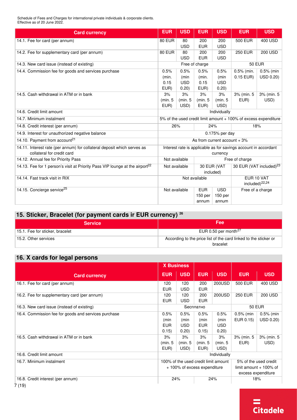| <b>Card currency</b>                                                                     | <b>EUR</b>                                                          | <b>USD</b> | <b>EUR</b>         | <b>USD</b> | <b>EUR</b>                                                      | <b>USD</b>     |
|------------------------------------------------------------------------------------------|---------------------------------------------------------------------|------------|--------------------|------------|-----------------------------------------------------------------|----------------|
| 14.1. Fee for card (per annum)                                                           | 80 EUR                                                              | 80         | 200                | 200        | <b>500 EUR</b>                                                  | <b>400 USD</b> |
|                                                                                          |                                                                     | <b>USD</b> | <b>EUR</b>         | <b>USD</b> |                                                                 |                |
| 14.2. Fee for supplementary card (per annum)                                             | <b>80 EUR</b>                                                       | 80         | 200                | 200        | <b>250 EUR</b>                                                  | <b>200 USD</b> |
|                                                                                          |                                                                     | <b>USD</b> | <b>EUR</b>         | <b>USD</b> |                                                                 |                |
| 14.3. New card issue (instead of existing)                                               |                                                                     |            | Free of charge     |            | <b>50 EUR</b>                                                   |                |
| 14.4. Commission fee for goods and services purchase                                     | 0.5%                                                                | 0.5%       | 0.5%               | 0.5%       | $0.5%$ (min.                                                    | 0.5% (min      |
|                                                                                          | (min.                                                               | (min       | (min)              | (min       | $0.15$ EUR)                                                     | USD 0.20)      |
|                                                                                          | 0.15                                                                | <b>USD</b> | 0.15               | <b>USD</b> |                                                                 |                |
|                                                                                          | EUR)                                                                | 0.20       | EUR)               | 0.20       |                                                                 |                |
| 14.5. Cash withdrawal in ATM or in bank                                                  | 3%                                                                  | 3%         | 3%                 | 3%         | 3% (min. 5                                                      | 3% (min. 5     |
|                                                                                          | (min. 5)                                                            | (min. 5)   | (min. 5)           | (min. 5)   | EUR)                                                            | USD)           |
|                                                                                          | EUR)                                                                | USD)       | EUR)               | USD)       |                                                                 |                |
| 14.6. Credit limit amount                                                                | Individually                                                        |            |                    |            |                                                                 |                |
| 14.7. Minimum instalment                                                                 | 5% of the used credit limit amount + 100% of excess expenditure     |            |                    |            |                                                                 |                |
| 14.8. Credit interest (per annum)                                                        | 26%<br>24%<br>18%                                                   |            |                    |            |                                                                 |                |
| 14.9. Interest for unauthorized negative balance                                         | 0.175% per day                                                      |            |                    |            |                                                                 |                |
| 14.10. Payment from account <sup>21</sup>                                                | As from current account $+3\%$                                      |            |                    |            |                                                                 |                |
| 14.11. Interest rate (per annum) for collateral deposit which serves as                  |                                                                     |            |                    |            | Interest rate is applicable as for savings account in accordant |                |
| collateral for credit card                                                               | currency                                                            |            |                    |            |                                                                 |                |
| 14.12. Annual fee for Priority Pass                                                      | Not available<br>Free of charge                                     |            |                    |            |                                                                 |                |
| 14.13. Fee for 1 person's visit at Priority Pass VIP lounge at the airport <sup>22</sup> | 30 EUR (VAT included) <sup>23</sup><br>Not available<br>30 EUR (VAT |            |                    |            |                                                                 |                |
|                                                                                          |                                                                     |            |                    | included)  |                                                                 |                |
| 14.14. Fast track visit in RIX                                                           | EUR 10 VAT<br>Not available                                         |            |                    |            |                                                                 |                |
|                                                                                          |                                                                     |            |                    |            | included) <sup>22,24</sup>                                      |                |
| 14.15. Concierge service <sup>25</sup>                                                   | Not available                                                       |            | <b>EUR</b>         | <b>USD</b> | Free of a charge                                                |                |
|                                                                                          |                                                                     |            | 150 <sub>per</sub> | 150 per    |                                                                 |                |
|                                                                                          |                                                                     |            | annum              | annum      |                                                                 |                |

### <span id="page-6-4"></span><span id="page-6-3"></span><span id="page-6-2"></span><span id="page-6-1"></span><span id="page-6-0"></span>**15. Sticker, Bracelet (for payment cards ir EUR currency) [26](#page-8-1)**

<span id="page-6-6"></span><span id="page-6-5"></span>

| <b>Service</b>                  | <b>\Fee</b>                                                                  |  |  |  |
|---------------------------------|------------------------------------------------------------------------------|--|--|--|
| 15.1. Fee for sticker, bracelet | EUR 0.50 per month <sup>27</sup>                                             |  |  |  |
| 15.2. Other services            | According to the price list of the card linked to the sticker or<br>bracelet |  |  |  |

### **16. X cards for legal persons**

|                                                      | <b>X Business</b>                                                    |                                    |                                     |                                                                         |                          |                          |
|------------------------------------------------------|----------------------------------------------------------------------|------------------------------------|-------------------------------------|-------------------------------------------------------------------------|--------------------------|--------------------------|
| <b>Card currency</b>                                 | <b>EUR</b>                                                           | <b>USD</b>                         | <b>EUR</b>                          | <b>USD</b>                                                              | <b>EUR</b>               | <b>USD</b>               |
| 16.1. Fee for card (per annum)                       | 120<br><b>EUR</b>                                                    | 120<br><b>USD</b>                  | 200<br>EUR                          | 200USD                                                                  | 500 EUR                  | 400 USD                  |
| 16.2. Fee for supplementary card (per annum)         | 120<br><b>EUR</b>                                                    | 120<br><b>USD</b>                  | 200<br><b>EUR</b>                   | 200USD                                                                  | <b>250 EUR</b>           | <b>200 USD</b>           |
| 16.3. New card issue (instead of existing)           | Бесплатно                                                            |                                    |                                     | <b>50 EUR</b>                                                           |                          |                          |
| 16.4. Commission fee for goods and services purchase | 0.5%<br>(min<br><b>EUR</b><br>0.15)                                  | 0.5%<br>(min<br><b>USD</b><br>0.20 | 0.5%<br>(min<br><b>EUR</b><br>0.15) | 0.5%<br>(min<br>USD.<br>0.20)                                           | $0.5%$ (min<br>EUR 0.15) | $0.5%$ (min<br>USD 0.20) |
| 16.5. Cash withdrawal in ATM or in bank              | 3%<br>(min. 5)<br>EUR)                                               | 3%<br>(min. 5)<br>USD)             | 3%<br>(min. 5)<br>EUR)              | 3%<br>(min. 5)<br>USD)                                                  | 3% (min. 5<br>EUR)       | 3% (min. 5<br>USD)       |
| 16.6. Credit limit amount                            | Individually                                                         |                                    |                                     |                                                                         |                          |                          |
| 16.7. Minimum instalment                             | 100% of the used credit limit amount<br>+ 100% of excess expenditure |                                    |                                     | 5% of the used credit<br>limit amount $+$ 100% of<br>excess expenditure |                          |                          |
| 16.8. Credit interest (per annum)                    |                                                                      | 24%                                |                                     | 24%                                                                     |                          | 18%                      |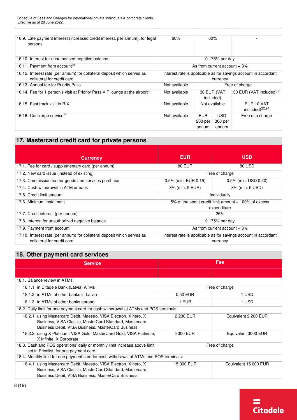| 16.9. Late payment interest (increased credit interest, per annum), for legal<br>persons | 60%                                                             |                    | 60%              |                                     |
|------------------------------------------------------------------------------------------|-----------------------------------------------------------------|--------------------|------------------|-------------------------------------|
| 16.10. Interest for unauthorised negative balance                                        |                                                                 |                    | $0.175%$ per day |                                     |
|                                                                                          |                                                                 |                    |                  |                                     |
| 16.11. Payment from account <sup>21</sup>                                                | As from current account $+3\%$                                  |                    |                  |                                     |
| 16.12. Interest rate (per annum) for collateral deposit which serves as                  | Interest rate is applicable as for savings account in accordant |                    |                  |                                     |
| collateral for credit card                                                               | currency                                                        |                    |                  |                                     |
| 16.13. Annual fee for Priority Pass                                                      | Not available<br>Free of charge                                 |                    |                  |                                     |
| 16.14. Fee for 1 person's visit at Priority Pass VIP lounge at the airport <sup>22</sup> | Not available                                                   |                    | 30 EUR (VAT      | 30 EUR (VAT included) <sup>23</sup> |
|                                                                                          |                                                                 |                    | included)        |                                     |
| 16.15. Fast track visit in RIX                                                           | Not available                                                   |                    | Not available    | EUR 10 VAT                          |
|                                                                                          |                                                                 |                    |                  | included) $^{22,24}$                |
| 16.16. Concierge service <sup>25</sup>                                                   | Not available                                                   | <b>EUR</b>         | USD              | Free of a charge                    |
|                                                                                          |                                                                 | 200 <sub>per</sub> | 300 per          |                                     |
|                                                                                          |                                                                 | annum              | annum            |                                     |

### **17. Mastercard credit card for private persons**

| <b>Currency</b>                                                         | <b>EUR</b>                                                      | <b>USD</b>           |  |  |
|-------------------------------------------------------------------------|-----------------------------------------------------------------|----------------------|--|--|
| 17.1. Fee for card / supplementary card (per annum)                     | <b>80 EUR</b>                                                   | 80 USD               |  |  |
| 17.2. New card issue (instead of existing)                              | Free of charge                                                  |                      |  |  |
| 17.3. Commission fee for goods and services purchase                    | 0.5% (min. EUR 0.15)                                            | 0.5% (min. USD 0.20) |  |  |
| 17.4. Cash withdrawal in ATM or bank                                    | 3% (min. 5 EUR)                                                 | 3% (min. 5 USD)      |  |  |
| 17.5. Credit limit amount                                               | Individually                                                    |                      |  |  |
| 17.6. Minimum instalment                                                | 5% of the spent credit limit amount + 100% of excess            |                      |  |  |
|                                                                         | expenditure                                                     |                      |  |  |
| 17.7. Credit interest (per annum)                                       | 26%                                                             |                      |  |  |
| 17.8. Interest for unauthorized negative balance                        | $0.175\%$ per day                                               |                      |  |  |
| 17.9. Payment from account                                              | As from current account $+3\%$                                  |                      |  |  |
| 17.10. Interest rate (per annum) for collateral deposit which serves as | Interest rate is applicable as for savings account in accordant |                      |  |  |
| collateral for credit card                                              | currency                                                        |                      |  |  |

### **18. Other payment card services**

| <b>Service</b>                                                                                                       | Fee            |                       |  |  |
|----------------------------------------------------------------------------------------------------------------------|----------------|-----------------------|--|--|
|                                                                                                                      |                |                       |  |  |
| 18.1. Balance review in ATMs:                                                                                        |                |                       |  |  |
| 18.1.1. in Citadele Bank (Latvia) ATMs                                                                               | Free of charge |                       |  |  |
| 18.1.2. in ATMs of other banks in Latvia                                                                             | 0.50 EUR       | 1 USD                 |  |  |
| 18.1.3. in ATMs of other banks abroad                                                                                | 1 EUR          | 1 USD                 |  |  |
| 18.2. Daily limit for one payment card for cash withdrawal at ATMs and POS terminals:                                |                |                       |  |  |
| 18.2.1. using Mastercard Debit, Maestro, VISA Electron, X hero, X                                                    | 2 200 EUR      | Equivalent 2 200 EUR  |  |  |
| Business, VISA Classic, MasterCard Standard, Mastercard                                                              |                |                       |  |  |
| Business Debit, VISA Business, MasterCard Business                                                                   |                |                       |  |  |
| 18.2.2. using X Platinum, VISA Gold, MasterCard Gold, VISA Platinum,<br>X Infinite, X Corporate                      | 3000 EUR       | Equivalent 3000 EUR   |  |  |
| 18.3. Cash and POS operations' daily or monthly limit increase above limit<br>set in Pricelist, for one payment card | Free of charge |                       |  |  |
| 18.4. Monthly limit for one payment card for cash withdrawal at ATMs and POS terminals:                              |                |                       |  |  |
| 18.4.1. using Mastercard Debit, Maestro, VISA Electron, X hero, X                                                    | 15 000 EUR     | Equivalent 15 000 EUR |  |  |
| Business, VISA Classic, MasterCard Standard, Mastercard                                                              |                |                       |  |  |
| Business Debit, VISA Business, MasterCard Business                                                                   |                |                       |  |  |

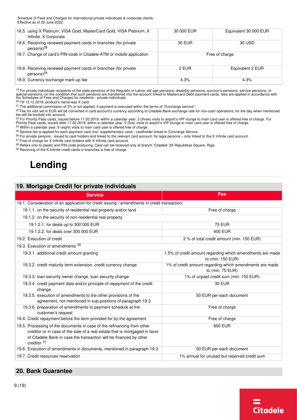<span id="page-8-2"></span>

| 18.5. using X Platinum, VISA Gold, MasterCard Gold, VISA Platinum, X<br>Infinite, X Corporate | 30 000 EUR | Equivalent 30 000 EUR |
|-----------------------------------------------------------------------------------------------|------------|-----------------------|
| 18.6. Receiving renewed payment cards in branches (for private<br>persons) <sup>28</sup>      | 30 EUR     | 30 USD                |
| 18.7. Change of card's PIN-code in Citadele ATM or mobile application                         |            | Free of charge        |
| 18.8. Receiving renewed payment cards in branches (for private<br>persons) <sup>29</sup>      | 2 EUR      | Equivalent 2 EUR      |
| 18.9. Currency exchange mark-up fee                                                           | 4.3%       | 4.3%                  |

<span id="page-8-3"></span><span id="page-8-1"></span><sup>19</sup> For private individuals recipients of the state pensions of the Republic of Latvia: old age pensions, slisability pensions, survivor's pensions, service pensions, or<br>special pensions, on the condition that such pensio the Schedules of Fees and Charges for residents - private individuals.

[20](#page-5-6) Till 12.12.2018. product's name was X card.

[21](#page-6-0) The additional commission of 3% is not applied, if payment is executed within the terms of "Concierge service".

<sup>22</sup> Fee for visit set in EUR will be converted in card account's currency according to Citadele Bank exchange rate for non-cash operations, for the day when mentioned fee will be booked into account.

<sup>23</sup> For Priority Pass cards, issued before 11.02.2019. within a calendar year, 3 (three) visits to airport's VIP lounge to main card user is offered free of charge. For<br>Priority Pass cards, issued after 11.02.2019. within [24](#page-6-3) Within a calendar year, 8 (eight) visits to main card user is offered free of charge.

<sup>25</sup> Service fee is applied for each payment card (incl. supplementary card) / cardholder linked to Concierge Service.

<sup>26</sup> For private persons - issued to card holders and linked to the relevant card account; for legal persons – only linked to the X Infinite card account.

[27](#page-6-6) Free of charge for X Infinite card holders with X Infinite card account.

<sup>28</sup> Refers only to plastic and PIN code producing. Card can be received only at branch 'Citadele' 2A Republikas Square, Riga.

<span id="page-8-0"></span><sup>29</sup> Receiving of the X Infinite credit cards in branches is free of charge.

# **Lending**

#### **19. Mortgage Credit for private individuals**

<span id="page-8-4"></span>

| <b>Service</b>                                                                                                                                                                                                                              | Fee                                                                            |  |  |  |
|---------------------------------------------------------------------------------------------------------------------------------------------------------------------------------------------------------------------------------------------|--------------------------------------------------------------------------------|--|--|--|
| 19.1. Consideration of an application for credit issuing / amendments in credit transaction:                                                                                                                                                |                                                                                |  |  |  |
| 19.1.1. on the security of residential real property and/or land                                                                                                                                                                            | Free of charge                                                                 |  |  |  |
| 19.1.2. on the security of non-residential real property                                                                                                                                                                                    |                                                                                |  |  |  |
| 19.1.2.1. for deals up to 300 000 EUR                                                                                                                                                                                                       | <b>75 EUR</b>                                                                  |  |  |  |
| 19.1.2.2. for deals over 300 000 EUR                                                                                                                                                                                                        | <b>400 EUR</b>                                                                 |  |  |  |
| 19.2. Execution of credit                                                                                                                                                                                                                   | 2 % of total credit amount (min. 150 EUR)                                      |  |  |  |
| 19.3. Execution of amendments 30                                                                                                                                                                                                            |                                                                                |  |  |  |
| 19.3.1. additional credit amount granting                                                                                                                                                                                                   | 1.5% of credit amount regarding which amendments are made<br>to (min. 150 EUR) |  |  |  |
| 19.3.2. credit maturity term extension, credit currency change                                                                                                                                                                              | 1% of credit amount regarding which amendments are made<br>to (min. 75 EUR)    |  |  |  |
| 19.3.3. Ioan security owner change, loan security change                                                                                                                                                                                    | 1% of unpaid credit sum (min. 150 EUR)                                         |  |  |  |
| 19.3.4. credit payment date and/or principle of repayment of the credit<br>change                                                                                                                                                           | <b>30 EUR</b>                                                                  |  |  |  |
| 19.3.5. execution of amendments to the other provisions of the<br>agreement, not mentioned in sup-positions of paragraph 19.3.                                                                                                              | 50 EUR per each document                                                       |  |  |  |
| 19.3.6. preparation of amendments to payment schedule at the<br>customer's request                                                                                                                                                          | Free of charge                                                                 |  |  |  |
| 19.4. Credit repayment before the term provided for by the agreement                                                                                                                                                                        | Free of charge                                                                 |  |  |  |
| 19.5. Processing of the documents in case of the refinancing from other<br>creditor or in case of the sale of a real estate that is mortgaged in favor<br>of Citadele Bank in case the transaction will be financed by other<br>creditor 31 | 600 EUR                                                                        |  |  |  |
| 19.6. Execution of amendments in documents, mentioned in paragraph 19.3                                                                                                                                                                     | 50 EUR per each document                                                       |  |  |  |
| 19.7. Credit resources reservation                                                                                                                                                                                                          | 1% annual for unused but reserved credit sum                                   |  |  |  |

#### <span id="page-8-5"></span>**20. Bank Guarantee**

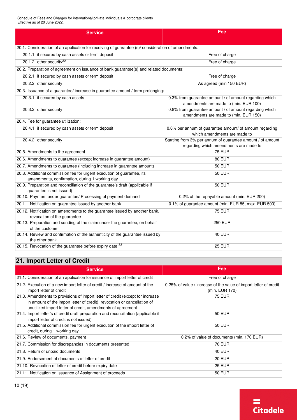<span id="page-9-0"></span>

| <b>Service</b>                                                                                                           | Fee                                                                                                  |
|--------------------------------------------------------------------------------------------------------------------------|------------------------------------------------------------------------------------------------------|
|                                                                                                                          |                                                                                                      |
| 20.1. Consideration of an application for receiving of guarantee (s)/ consideration of amendments:                       |                                                                                                      |
| 20.1.1. if secured by cash assets or term deposit                                                                        | Free of charge                                                                                       |
| 20.1.2. other security <sup>32</sup>                                                                                     | Free of charge                                                                                       |
| 20.2. Preparation of agreement on issuance of bank guarantee(s) and related documents:                                   |                                                                                                      |
| 20.2.1. if secured by cash assets or term deposit                                                                        | Free of charge                                                                                       |
| 20.2.2. other security                                                                                                   | As agreed (min 150 EUR)                                                                              |
| 20.3. Issuance of a guarantee/ increase in guarantee amount / term prolonging:                                           |                                                                                                      |
| 20.3.1. if secured by cash assets                                                                                        | 0.3% from guarantee amount / of amount regarding which<br>amendments are made to (min. EUR 100)      |
| 20.3.2. other security                                                                                                   | 0.8% from guarantee amount / of amount regarding which<br>amendments are made to (min. EUR 150)      |
| 20.4. Fee for guarantee utilization:                                                                                     |                                                                                                      |
| 20.4.1. if secured by cash assets or term deposit                                                                        | 0.8% per annum of guarantee amount/ of amount regarding<br>which amendments are made to              |
| 20.4.2. other security                                                                                                   | Starting from 3% per annum of guarantee amount / of amount<br>regarding which amendments are made to |
| 20.5. Amendments to the agreement                                                                                        | <b>75 EUR</b>                                                                                        |
| 20.6. Amendments to guarantee (except increase in guarantee amount)                                                      | 80 EUR                                                                                               |
| 20.7. Amendments to guarantee (including increase in guarantee amount)                                                   | <b>50 EUR</b>                                                                                        |
| 20.8. Additional commission fee for urgent execution of guarantee, its<br>amendments, confirmation, during 1 working day | <b>50 EUR</b>                                                                                        |
| 20.9. Preparation and reconciliation of the guarantee's draft (applicable if<br>guarantee is not issued)                 | <b>50 EUR</b>                                                                                        |
| 20.10. Payment under guarantee/ Processing of payment demand                                                             | 0.2% of the repayable amount (min. EUR 200)                                                          |
| 20.11. Notification on guarantee issued by another bank                                                                  | 0.1% of guarantee amount (min. EUR 85, max. EUR 500)                                                 |
| 20.12. Notification on amendments to the guarantee issued by another bank,<br>revocation of the guarantee                | <b>75 EUR</b>                                                                                        |
| 20.13. Preparation and sending of the claim under the guarantee, on behalf<br>of the customer                            | <b>250 EUR</b>                                                                                       |
| 20.14. Review and confirmation of the authenticity of the guarantee issued by<br>the other bank                          | <b>40 EUR</b>                                                                                        |
| 20.15. Revocation of the guarantee before expiry date 33                                                                 | <b>25 EUR</b>                                                                                        |

### <span id="page-9-1"></span>**21. Import Letter of Credit**

| <b>Service</b>                                                                                                                                                                                                            | Fee                                                                                 |
|---------------------------------------------------------------------------------------------------------------------------------------------------------------------------------------------------------------------------|-------------------------------------------------------------------------------------|
| 21.1. Consideration of an application for issuance of import letter of credit                                                                                                                                             | Free of charge                                                                      |
| 21.2. Execution of a new import letter of credit / increase of amount of the<br>import letter of credit                                                                                                                   | 0.25% of value / increase of the value of import letter of credit<br>(min. EUR 170) |
| 21.3. Amendments to provisions of import letter of credit (except for increase<br>in amount of the import letter of credit), revocation or cancellation of<br>unutilized import letter of credit, amendments of agreement | <b>75 EUR</b>                                                                       |
| 21.4. Import letter's of credit draft preparation and reconciliation (applicable if<br>import letter of credit is not issued)                                                                                             | <b>50 EUR</b>                                                                       |
| 21.5. Additional commission fee for urgent execution of the import letter of<br>credit, during 1 working day                                                                                                              | <b>50 EUR</b>                                                                       |
| 21.6. Review of documents, payment                                                                                                                                                                                        | 0.2% of value of documents (min. 170 EUR)                                           |
| 21.7. Commission for discrepancies in documents presented                                                                                                                                                                 | <b>70 EUR</b>                                                                       |
| 21.8. Return of unpaid documents                                                                                                                                                                                          | <b>40 EUR</b>                                                                       |
| 21.9. Endorsement of documents of letter of credit                                                                                                                                                                        | <b>20 EUR</b>                                                                       |
| 21.10. Revocation of letter of credit before expiry date                                                                                                                                                                  | <b>25 EUR</b>                                                                       |
| 21.11. Notification on issuance of Assignment of proceeds                                                                                                                                                                 | <b>50 EUR</b>                                                                       |

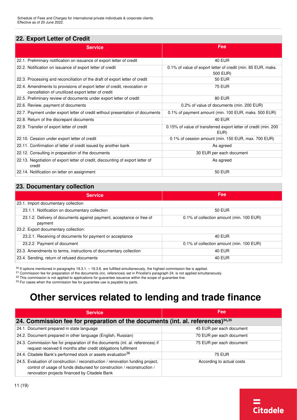#### **22. Export Letter of Credit**

| <b>Service</b>                                                                                                                 | Fee                                                                      |
|--------------------------------------------------------------------------------------------------------------------------------|--------------------------------------------------------------------------|
| 22.1. Preliminary notification on issuance of export letter of credit                                                          | <b>40 EUR</b>                                                            |
| 22.2. Notification on issuance of export letter of credit                                                                      | 0.1% of value of export letter of credit (min. 85 EUR, maks.<br>500 EUR) |
| 22.3. Processing and reconciliation of the draft of export letter of credit                                                    | <b>50 EUR</b>                                                            |
| 22.4. Amendments to provisions of export letter of credit, revocation or<br>cancellation of unutilized export letter of credit | <b>75 EUR</b>                                                            |
| 22.5. Preliminary review of documents under export letter of credit                                                            | <b>80 EUR</b>                                                            |
| 22.6. Review, payment of documents                                                                                             | 0.2% of value of documents (min. 200 EUR)                                |
| 22.7. Payment under export letter of credit without presentation of documents                                                  | 0.1% of payment amount (min. 100 EUR, maks. 500 EUR)                     |
| 22.8. Return of the discrepant documents                                                                                       | <b>40 EUR</b>                                                            |
| 22.9. Transfer of export letter of credit                                                                                      | 0.15% of value of transferred export letter of credit (min. 200<br>EUR)  |
| 22.10. Cession under export letter of credit                                                                                   | 0.1% of cession amount (min. 150 EUR, max. 700 EUR)                      |
| 22.11. Confirmation of letter of credit issued by another bank                                                                 | As agreed                                                                |
| 22.12. Consulting in preparation of the documents                                                                              | 30 EUR per each document                                                 |
| 22.13. Negotiation of export letter of credit, discounting of export letter of<br>credit                                       | As agreed                                                                |
| 22.14. Notification on letter on assignment                                                                                    | <b>50 EUR</b>                                                            |

#### **23. Documentary collection**

| <b>Service</b>                                                                  | Fee                                      |  |
|---------------------------------------------------------------------------------|------------------------------------------|--|
| 23.1. Import documentary collection                                             |                                          |  |
| 23.1.1. Notification on documentary collection                                  | 50 EUR                                   |  |
| 23.1.2. Delivery of documents against payment, acceptance or free of<br>payment | 0.1% of collection amount (min. 100 EUR) |  |
| 23.2. Export documentary collection:                                            |                                          |  |
| 23.2.1. Receiving of documents for payment or acceptance                        | <b>40 EUR</b>                            |  |
| 23.2.2. Payment of document                                                     | 0.1% of collection amount (min. 100 EUR) |  |
| 23.3. Amendments to terms, instructions of documentary collection               | <b>40 EUR</b>                            |  |
| 23.4. Sending, return of refused documents                                      | <b>40 EUR</b>                            |  |

<span id="page-10-1"></span>[30](#page-8-4) If options mentioned in paragraphs 19.3.1. – 19.3.6. are fulfilled simultaneously, the highest commission fee is applied.

[31](#page-8-5) Commission fee for preparation of the documents (inc. references) set in Pricelist's paragraph 24. is not applied simultaneously.

<sup>32</sup> This commission is not applied to applications for guarantee issuance within the scope of guarantee line.

<span id="page-10-0"></span><sup>33</sup> For cases when the commission fee for guarantee use is payable by parts.

# <span id="page-10-4"></span><span id="page-10-3"></span><span id="page-10-2"></span>**Other services related to lending and trade finance**

| <b>Service</b>                                                                                                                                                                                              | Fee                       |
|-------------------------------------------------------------------------------------------------------------------------------------------------------------------------------------------------------------|---------------------------|
| 24. Commission fee for preparation of the documents (int. al. references) $34,35$                                                                                                                           |                           |
| 24.1. Document prepared in state language                                                                                                                                                                   | 45 EUR per each document  |
| 24.2. Document prepared in other language (English, Russian)                                                                                                                                                | 70 EUR per each document  |
| 24.3. Commission fee for preparation of the documents (int. al. references) if<br>request received 6 months after credit obligations fulfilment                                                             | 75 EUR per each document  |
| 24.4. Citadele Bank's performed stock or assets evaluation <sup>36</sup>                                                                                                                                    | <b>75 EUR</b>             |
| 24.5. Evaluation of construction / reconstruction / renovation funding project,<br>control of usage of funds disbursed for construction / reconstruction /<br>renovation projects financed by Citadele Bank | According to actual costs |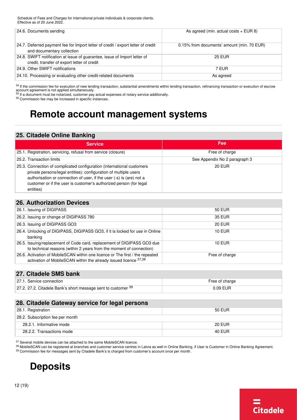| 24.6. Documents sending                                                          | As agreed (min. actual costs $+$ EUR 8)    |
|----------------------------------------------------------------------------------|--------------------------------------------|
|                                                                                  |                                            |
| 24.7. Deferred payment fee for Import letter of credit / export letter of credit | 0.15% from documents' amount (min. 70 EUR) |
| and documentary collection                                                       |                                            |
| 24.8. SWIFT notification at issue of guarantee, issue of Import letter of        | <b>25 EUR</b>                              |
| credit, transfer of export letter of credit                                      |                                            |
| 24.9. Other SWIFT notifications                                                  | 7 EUR                                      |
| 24.10. Processing or evaluating other credit-related documents                   | As agreed                                  |

<span id="page-11-2"></span><sup>34</sup> If the commission fee for execution of new lending transaction, substantial amendments within lending transaction, refinancing transaction or execution of escrow<br>account agreement is not applied simultaneously.

[35](#page-10-3) If a document must be notarized, customer pay actual expenses of notary service additionally.

<span id="page-11-0"></span>[36](#page-10-4) Commission fee may be increased in specific instances.

### **Remote account management systems**

### **25. Citadele Online Banking**

| <b>Service</b>                                                                                                                                                                                                                                                                                        | Fee                           |
|-------------------------------------------------------------------------------------------------------------------------------------------------------------------------------------------------------------------------------------------------------------------------------------------------------|-------------------------------|
| 25.1. Registration, servicing, refusal from service (closure)                                                                                                                                                                                                                                         | Free of charge                |
| 25.2. Transaction limits                                                                                                                                                                                                                                                                              | See Appendix No 2 paragraph 3 |
| 25.3. Connection of complicated configuration (international customers<br>private persons/legal entities): configuration of multiple users<br>authorisation or connection of user, if the user (-s) is (are) not a<br>customer or if the user is customer's authorized person (for legal<br>entities) | <b>20 EUR</b>                 |

#### **26. Authorization Devices**

| 26.1. Issuing of DIGIPASS                                                                                                                         | 50 EUR         |
|---------------------------------------------------------------------------------------------------------------------------------------------------|----------------|
| 26.2. Issuing or change of DIGIPASS 780                                                                                                           | 35 EUR         |
| 26.3. Issuing of DIGIPASS GO3                                                                                                                     | <b>20 EUR</b>  |
| 26.4. Unlocking of DIGIPASS, DIGIPASS GO3, if it is locked for use in Online<br>banking                                                           | <b>10 EUR</b>  |
| 26.5. Issuing/replacement of Code card, replacement of DIGIPASS GO3 due<br>to technical reasons (within 2 years from the moment of connection)    | <b>10 EUR</b>  |
| 26.6. Activation of MobileSCAN within one licence or The first / the repeated<br>activation of MobileSCAN within the already issued licence 37,38 | Free of charge |

#### <span id="page-11-5"></span><span id="page-11-4"></span>**27. Citadele SMS bank**

<span id="page-11-6"></span>

| 27.1. Service connection                                        | Free of charge |
|-----------------------------------------------------------------|----------------|
| 27.2. 27.2. Citadele Bank's short message sent to customer $39$ | ገ በ9 FI IR     |

| 28. Citadele Gateway service for legal persons |        |
|------------------------------------------------|--------|
| 28.1. Registration                             | 50 EUR |
| 28.2. Subscription fee per month               |        |
| 28.2.1. Informative mode                       | 20 EUR |
| 28.2.2. Transactions mode                      | 40 EUR |

<span id="page-11-3"></span><sup>37</sup> Several mobile devices can be attached to the same MobileSCAN licence.

[38](#page-11-5) MobileSCAN can be registered at branches and customer service centres in Latvia as well in Online Banking, if User is Customer in Online Banking Agreement. [39](#page-11-6) Commission fee for messages sent by Citadele Bank's is charged from customer's account once per month.

# <span id="page-11-1"></span>**Deposits**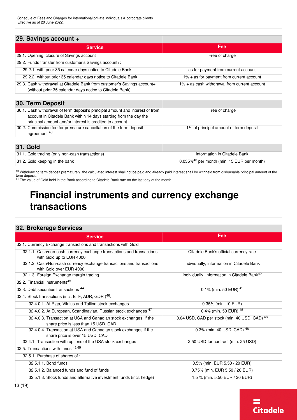#### **29. Savings account +**

| <b>Service</b>                                                                                                                      | Fee                                             |
|-------------------------------------------------------------------------------------------------------------------------------------|-------------------------------------------------|
| 29.1. Opening, closure of Savings account+                                                                                          | Free of charge                                  |
| 29.2. Funds transfer from customer's Savings account+:                                                                              |                                                 |
| 29.2.1. with prior 35 calendar days notice to Citadele Bank                                                                         | as for payment from current account             |
| 29.2.2. without prior 35 calendar days notice to Citadele Bank                                                                      | 1% + as for payment from current account        |
| 29.3. Cash withdrawal at Citadele Bank from customer's Savings account+<br>(without prior 35 calendar days notice to Citadele Bank) | $1\%$ + as cash withdrawal from current account |

| 30. Term Deposit                                                                                                                                                                                              |                                        |
|---------------------------------------------------------------------------------------------------------------------------------------------------------------------------------------------------------------|----------------------------------------|
| 30.1. Cash withdrawal of term deposit's principal amount and interest of from<br>account in Citadele Bank within 14 days starting from the day the<br>principal amount and/or interest is credited to account | Free of charge                         |
| 30.2. Commission fee for premature cancellation of the term deposit<br>agreement <sup>40</sup>                                                                                                                | 1% of principal amount of term deposit |

#### <span id="page-12-2"></span>**31. Gold**

| <b>UI. UVIU</b>                                 |                                                           |
|-------------------------------------------------|-----------------------------------------------------------|
| 31.1. Gold trading (only non-cash transactions) | Information in Citadele Bank                              |
| 31.2. Gold keeping in the bank                  | $0.035\%$ <sup>40</sup> per month (min. 15 EUR per month) |

<span id="page-12-1"></span><sup>40</sup> Withdrawing term deposit prematurely, the calculated interest shall not be paid and already paid interest shall be withheld from disbursable principal amount of the term deposit.<br><sup>41</sup> The value of Gold held in the Bank according to Citadele Bank rate on the last day of the month.

<span id="page-12-0"></span>

### **Financial instruments and currency exchange transactions**

<span id="page-12-10"></span><span id="page-12-7"></span><span id="page-12-5"></span><span id="page-12-4"></span>

| 32. Brokerage Services                                                                                    |                                                          |  |
|-----------------------------------------------------------------------------------------------------------|----------------------------------------------------------|--|
| <b>Service</b>                                                                                            | Fee                                                      |  |
| 32.1. Currency Exchange transactions and transactions with Gold                                           |                                                          |  |
| 32.1.1. Cash/non-cash currency exchange transactions and transactions<br>with Gold up to EUR 4000         | Citadele Bank's official currency rate                   |  |
| 32.1.2. Cash/Non-cash currency exchange transactions and transactions<br>with Gold over EUR 4000          | Individually, information in Citadele Bank               |  |
| 32.1.3. Foreign Exchange margin trading                                                                   | Individually, information in Citadele Bank <sup>42</sup> |  |
| 32.2. Financial Instruments <sup>43</sup>                                                                 |                                                          |  |
| 32.3. Debt securities transactions 44                                                                     | 0.1% (min. 50 EUR) 45                                    |  |
| 32.4. Stock transactions (incl. ETF, ADR, GDR) <sup>46</sup> :                                            |                                                          |  |
| 32.4.0.1. At Riga, Vilnius and Tallinn stock exchanges                                                    | 0.35% (min. 10 EUR)                                      |  |
| 32.4.0.2. At European, Scandinavian, Russian stock exchanges <sup>47</sup>                                | 0.4% (min. 50 EUR) 45                                    |  |
| 32.4.0.3. Transaction at USA and Canadian stock exchanges, if the<br>share price is less than 15 USD, CAD | 0.04 USD, CAD per stock (min. 40 USD, CAD) 48            |  |
| 32.4.0.4. Transaction at USA and Canadian stock exchanges if the<br>share price is over 15 USD, CAD       | 0.3% (min. 40 USD, CAD) 48                               |  |
| 32.4.1. Transaction with options of the USA stock exchanges                                               | 2.50 USD for contract (min. 25 USD)                      |  |
| 32.5. Transactions with funds 45,49                                                                       |                                                          |  |
| 32.5.1. Purchase of shares of:                                                                            |                                                          |  |
| 32.5.1.1. Bond funds                                                                                      | 0.5% (min. EUR 5.50 / 20 EUR)                            |  |
| 32.5.1.2. Balanced funds and fund of funds                                                                | 0.75% (min. EUR 5.50 / 20 EUR)                           |  |
| 32.5.1.3. Stock funds and alternative investment funds (incl. hedge)                                      | 1.5 % (min. 5.50 EUR / 20 EUR)                           |  |

<span id="page-12-9"></span><span id="page-12-8"></span><span id="page-12-6"></span><span id="page-12-3"></span>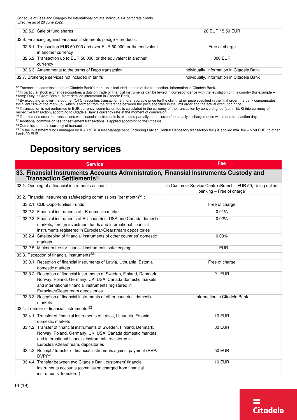| 32.5.2. Sale of fund shares                                                                  | 20 EUR / 5.50 EUR                          |
|----------------------------------------------------------------------------------------------|--------------------------------------------|
| 32.6. Financing against Financial instruments pledge - products:                             |                                            |
| 32.6.1. Transaction EUR 50 000 and over EUR 50 000, or the equivalent<br>in another currency | Free of charge                             |
| 32.6.2. Transaction up to EUR 50 000, or the equivalent in another<br>currency               | 300 EUR                                    |
| 32.6.3. Amendments to the terms of Repo transaction                                          | Individually, information in Citadele Bank |
| 32.7. Brokerage services not included in tariffs                                             | Individually, information in Citadele Bank |

<span id="page-13-1"></span>[42](#page-12-3) Transaction commission fee or Citadele Bank's mark-up is included in price of the transaction. Information in Citadele Bank.

<sup>43</sup> In particular stock exchanges/countries a duty on trade of financial instruments can be levied in correspondence with the legislation of this country (for example –<br>Stamp Duty in Great Britain. More detailed informati

the client 50% of the mark-up , which is formed from the difference between the price specified in the limit order and the actual execution price. <sup>45</sup> If transaction is not performed in EUR currency, commission fee is calculated in the currency of the transaction by converting fee (set in EUR) into currency of<br>respective transaction, according to Citadele Bank's cur

<sup>46</sup> If customer's order for transactions with financial instruments is executed partially, commission fee usually is charged once within one transaction day.

[47](#page-12-8) Additional commission fee for settlement transactions is applied according to the Pricelist.

[48](#page-12-9) Commission fee in currency of transaction.

[49](#page-12-10) To the investment funds managed by IPAS 'CBL Asset Management' (including Latvian Central Depository transaction fee ) is applied min. fee – 5.50 EUR, to other funds 20 EUR.

## <span id="page-13-3"></span><span id="page-13-2"></span>**Depository services**

<span id="page-13-4"></span><span id="page-13-0"></span>

| <b>Service</b>                                                                                                                                                                                                                      | Fee                                                                                    |
|-------------------------------------------------------------------------------------------------------------------------------------------------------------------------------------------------------------------------------------|----------------------------------------------------------------------------------------|
| 33. Finansial Instruments Accounts Administration, Finansial Instruments Custody and<br>Transaction Settlements <sup>50</sup>                                                                                                       |                                                                                        |
| 33.1. Opening of a financial instruments account                                                                                                                                                                                    | In Customer Service Centre / Branch - EUR 50; Using online<br>banking - Free of charge |
| 33.2. Financial instruments safekeeping commissions (per month) <sup>51</sup> :                                                                                                                                                     |                                                                                        |
| 33.2.1. CBL Opportunities Funds                                                                                                                                                                                                     | Free of charge                                                                         |
| 33.2.2. Financial instruments of LR domestic market                                                                                                                                                                                 | 0.01%                                                                                  |
| 33.2.3. Financial instruments of EU countries, USA and Canada domestic<br>markets, foreign investment funds and international financial<br>instruments registered in Euroclear/Clearstream depositories                             | 0.02%                                                                                  |
| 33.2.4. Safekeeping of financial instruments of other countries' domestic<br>markets                                                                                                                                                | 0.03%                                                                                  |
| 33.2.5. Minimum fee for financial instruments safekeeping                                                                                                                                                                           | 1 EUR                                                                                  |
| 33.3. Reception of financial instruments <sup>52</sup> :                                                                                                                                                                            |                                                                                        |
| 33.3.1. Reception of financial instruments of Latvia, Lithuania, Estonia<br>domestic markets                                                                                                                                        | Free of charge                                                                         |
| 33.3.2. Reception of financial instruments of Sweden, Finland, Denmark,<br>Norway, Poland, Germany, UK, USA, Canada domestic markets<br>and international financial instruments registered in<br>Euroclear/Clearstream depositories | <b>21 EUR</b>                                                                          |
| 33.3.3. Reception of financial instruments of other countries' domestic<br>markets                                                                                                                                                  | Information in Citadele Bank                                                           |
| 33.4. Transfer of financial instruments <sup>52</sup> :                                                                                                                                                                             |                                                                                        |
| 33.4.1. Transfer of financial instruments of Latvia, Lithuania, Estonia<br>domestic markets                                                                                                                                         | <b>10 EUR</b>                                                                          |
| 33.4.2. Transfer of financial instruments of Sweden, Finland, Denmark,<br>Norway, Poland, Germany, UK, USA, Canada domestic markets<br>and international financial instruments registered in<br>Euroclear/Clearstream, depositories | <b>30 EUR</b>                                                                          |
| 33.4.3. Receipt / transfer of financial instruments against payment (RVP/<br>$DVP)^{52}$                                                                                                                                            | <b>50 EUR</b>                                                                          |
| 33.4.4. Transfer between two Citadele Bank customers' financial<br>instruments accounts (commission charged from financial<br>instruments' transferor)                                                                              | <b>10 EUR</b>                                                                          |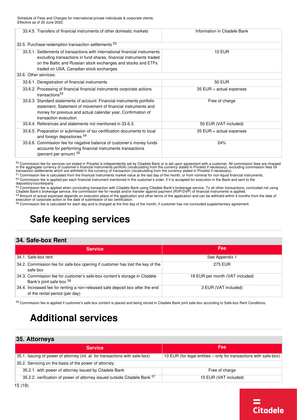<span id="page-14-4"></span><span id="page-14-3"></span>

| 33.4.5. Transfers of financial instruments of other domestic markets                                                                                                                                                                                            | Information in Citadele Bank |
|-----------------------------------------------------------------------------------------------------------------------------------------------------------------------------------------------------------------------------------------------------------------|------------------------------|
| 33.5. Purchase-redemption transaction settlements 53                                                                                                                                                                                                            |                              |
| 33.5.1. Settlements of transactions with international financial instruments<br>excluding transactions in fund shares, financial instruments traded<br>on the Baltic and Russian stock exchanges and stocks and ETFs<br>traded on USA, Canadian stock exchanges | <b>10 EUR</b>                |
| 33.6. Other services:                                                                                                                                                                                                                                           |                              |
| 33.6.1. Deregistration of financial instruments                                                                                                                                                                                                                 | <b>50 EUR</b>                |
| 33.6.2. Processing of financial financial instruments corporate actions<br>transactions <sup>54</sup>                                                                                                                                                           | $35$ EUR + actual expenses   |
| 33.6.3. Standard statements of account: Financial instruments portfolio<br>statement. Statement of movement of financial instruments and<br>money for previous and actual calendar year, Confirmation of<br>transaction execution                               | Free of charge               |
| 33.6.4. References and statements not mentioned in 33.6.3.                                                                                                                                                                                                      | 50 EUR (VAT included)        |
| 33.6.5. Preparation or submission of tax certification documents to local<br>and foreign depositories 54                                                                                                                                                        | 35 EUR + actual expenses     |
| 33.6.6. Commission fee for negative balance of customer's money funds<br>accounts for performing financial instruments transactions<br>(percent per annum) 55                                                                                                   | 24%                          |

<span id="page-14-5"></span><span id="page-14-2"></span>[50](#page-13-2) Commission fee for services not stated in Pricelist is independently set by Citadele Bank or is set upon agreement with a customer. All commission fees are charged in the aggregate currency of customer's financial instruments portfolio (recalculating from the currency stated in Pricelist if necessary), excluding commission fees for<br>transaction settlements which are withheld in the cu [51](#page-13-3) Commission fee is calculated from the financial instruments market value at the last day of the month, or from nominal for non-liquid financial instruments.

[52](#page-13-4) Commission fee is applied per each financial instrument mentioned in the customer's order, if it is accepted for execution in the Bank and sent to the depository/counterparty.

<sup>53</sup> Commission fee is applied when concluding transaction with Citadele Bank using Citadele Bank's brokerage service. To all other transactions, concluded not using<br>Citadele Bank's brokerage service, the commission fee fo [54](#page-14-4) Amount of actual expenses depends on execution place of the application and other terms of the application and can be withheld within 4 months from the date of execution of corporate action or the date of submission of tax certification.

<span id="page-14-0"></span>[55](#page-14-5) Commission fee is calculated for each day and is charged at the first day of the month, if customer has not concluded supplementary agreement.

# **Safe keeping services**

#### **34. Safe-box Rent**

| <b>Service</b>                                                                                                  | Fee                             |
|-----------------------------------------------------------------------------------------------------------------|---------------------------------|
| 34.1. Safe-box rent                                                                                             | See Appendix 1                  |
| 34.2. Commission fee for safe-box opening if customer has lost the key of the<br>safe box                       | <b>275 EUR</b>                  |
| 34.3. Commission fee for customer's safe-box content's storage in Citadele<br>Bank's joint safe-box 56          | 18 EUR per month (VAT included) |
| 34.4. Increased fee for renting a non-released safe deposit box after the end<br>of the rental period (per day) | 3 EUR (VAT included)            |

<span id="page-14-6"></span><span id="page-14-1"></span>[56](#page-14-7) Commission fee is applied if customer's safe box content is placed and being stored in Citadele Bank joint safe-box according to Safe-box Rent Conditions.

# <span id="page-14-7"></span>**Additional services**

### **35. Attorneys**

| $\mathbf{v}$                                                                 |                                                                   |
|------------------------------------------------------------------------------|-------------------------------------------------------------------|
| <b>Service</b>                                                               | Fee                                                               |
| 35.1. Issuing of power of attorney (int. al. for transactions with safe-box) | 10 EUR (for legal entities – only for transactions with safe-box) |
| 35.2. Servicing on the basis of the power of attorney:                       |                                                                   |
| 35.2.1. with power of attorney issued by Citadele Bank                       | Free of charge                                                    |
| 35.2.2. verification of power of attorney issued outside Citadele Bank 57    | 10 EUR (VAT included)                                             |

<span id="page-14-8"></span>**Citadele**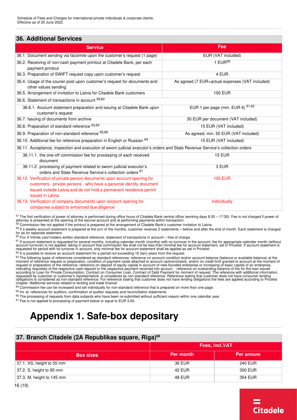#### <span id="page-15-2"></span>**36. Additional Services**

<span id="page-15-8"></span><span id="page-15-7"></span><span id="page-15-6"></span><span id="page-15-5"></span><span id="page-15-4"></span><span id="page-15-3"></span>

| <b>Service</b>                                                                                                                                                                                                                            | Fee                                             |  |  |
|-------------------------------------------------------------------------------------------------------------------------------------------------------------------------------------------------------------------------------------------|-------------------------------------------------|--|--|
| 36.1. Document sending via facsimile upon the customer's request (1 page)                                                                                                                                                                 | EUR (VAT included)                              |  |  |
| 36.2. Receiving of non-cash payment printout at Citadele Bank, per each<br>payment printout                                                                                                                                               | $1$ EUR <sup>58</sup>                           |  |  |
| 36.3. Preparation of SWIFT request copy upon customer's request                                                                                                                                                                           | 4 EUR                                           |  |  |
| 36.4. Usage of the courier post upon customer's request for documents and<br>other values sending                                                                                                                                         | As agreed (7 EUR+actual expenses (VAT included) |  |  |
| 36.5. Arrangement of invitation to Latvia for Citadele Bank customers                                                                                                                                                                     | <b>100 EUR</b>                                  |  |  |
| 36.6. Statement of transactions in account 59,60                                                                                                                                                                                          |                                                 |  |  |
| 36.6.1. Account statement preparation and issuing at Citadele Bank upon<br>customer's request                                                                                                                                             | EUR 1 per page (min. EUR 6) 61,62               |  |  |
| 36.7. Issuing of documents from archive                                                                                                                                                                                                   | 30 EUR per document (VAT included)              |  |  |
| 36.8. Preparation of standard reference 63,64                                                                                                                                                                                             | 15 EUR (VAT included)                           |  |  |
| 36.9. Preparation of non-standard reference 65,66                                                                                                                                                                                         | As agreed, min. 50 EUR (VAT included)           |  |  |
| 36.10. Additional fee for reference preparation in English or Russian 64                                                                                                                                                                  | 15 EUR (VAT included)                           |  |  |
| 36.11. Acceptance, inspection and execution of sworn judicial executor's orders and State Revenue Service's collection orders                                                                                                             |                                                 |  |  |
| 36.11.1. the one-off commission fee for processing of each received<br>document                                                                                                                                                           | 15 EUR                                          |  |  |
| 36.11.2. processing of payment related to sworn judicial executor's<br>orders and State Revenue Service's collection orders 67                                                                                                            | 3 EUR                                           |  |  |
| 36.12. Verification of private person documents upon account opening for<br>customers - private persons - who have a personal identity document<br>issued outside Latvia and do not hold a permanent residence permit<br>issued in Latvia | <b>100 EUR</b>                                  |  |  |
| 36.13. Verification of company documents upon account opening for<br>companies subject to enhanced due diligence                                                                                                                          | Individually                                    |  |  |

<span id="page-15-11"></span><span id="page-15-10"></span><span id="page-15-9"></span><span id="page-15-1"></span>[57](#page-14-8) The first verification of power of attorney is performed during office hours of Citadele Bank central office (working days 8:30 – 17:30). Fee is not charged if power of<br>attorney is presented at the opening of the escrow

[58](#page-15-2) Commission fee not applied if the printout is prepared at the arrangement of Citadele Bank's customer invitation to Latvia.

[59](#page-15-3) If a weekly account statement is prepared at the turn of the months, customer receives 2 statements – before and after the end of month. Each statement is charged for as for separate statement.

 $60$  Fox X Infinite card holders written standard reference, statement of transactions in account – free of charge.

<sup>61</sup> If account statement is requested for several months, including calendar month (months) with no turnover in the account, fee for appropriate calendar month (without account turnover) is not applied, taking in account that commission fee shall not be less than minimal fee for account statement, set in Pricelist. If account statement is<br>requested for period with no turnover in account,

[62](#page-15-6) It is possible to receive an account statement for a period not exceeding 10 (ten) years from the request.

[63](#page-15-7) The following types of references considered as standard references: reference on account condition and/or account balance (balance or available balance) at the moment of reference request or preparation, condition of payment cards attached to account (active/closed), and/or on credit limit granted to account at the moment of<br>request or preparation of the reference; reference on d obligations is considered as non-standard reference. For reference stating that customer does not have lending obligations the fees are applied according to Pricelist<br>chapter 'Additional services related to lending and tra

[64](#page-15-8) Commission fee can be increased and set individually for non-standard reference that is prepared on more than one page.

<sup>65</sup> Int. al. references for auditors, confirmation of auditor requests and reconciliation statements.

[66](#page-15-10) The processing of requests from data subjects who have been re-submitted without sufficient reason within one calendar year.

<span id="page-15-0"></span> $67$  Fee is not applied to processing of payment below or equal to EUR 3.00.

# **Appendix 1. Safe-box depositary**

#### **37. Branch Citadele (2A Republikas square, Riga)[68](#page-16-1)**

|                                   | Fees, incl.VAT   |                |
|-----------------------------------|------------------|----------------|
| <b>Box sizes</b>                  | <b>Per month</b> | Per annum      |
| $\vert$ 37.1. XS, height to 55 mm | <b>36 EUR</b>    | <b>240 EUR</b> |
| 37.2. S, height to 95 mm          | <b>42 EUR</b>    | 300 EUR        |
| 37.3. M, height to 145 mm         | <b>48 EUR</b>    | 354 EUR        |

<span id="page-15-12"></span>**Citadele**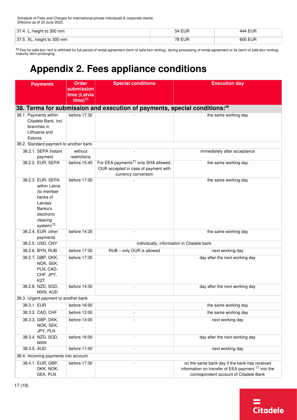| 37.4. L, height to 300 mm  | <b>54 EUR</b> | <b>444 EUR</b> |
|----------------------------|---------------|----------------|
| 37.5. XL, height to 300 mm | 78 EUR        | 600 EUR        |

<span id="page-16-1"></span><sup>68</sup> Fee for safe-box rent is withheld for full period of rental agreement (term of safe-box renting), during processing of rental agreement or its (term of safe-box renting)<br>maturity term prolonging.

# <span id="page-16-4"></span><span id="page-16-3"></span><span id="page-16-2"></span><span id="page-16-0"></span>**Appendix 2. Fees appliance conditions**

<span id="page-16-5"></span>

| <b>Payments</b>                                                                                                                        | <b>Order</b><br>submission<br>time (Latvia<br>time) $70$ | <b>Special conditions</b>                                                                                       | <b>Execution day</b>                                                                                                                                     |
|----------------------------------------------------------------------------------------------------------------------------------------|----------------------------------------------------------|-----------------------------------------------------------------------------------------------------------------|----------------------------------------------------------------------------------------------------------------------------------------------------------|
|                                                                                                                                        |                                                          | 38. Terms for submission and execution of payments, special conditions: <sup>69</sup>                           |                                                                                                                                                          |
| 38.1. Payments within<br>Citadele Bank, incl<br>branches in<br>Lithuania and<br>Estonia                                                | before 17.30                                             |                                                                                                                 | the same working day                                                                                                                                     |
| 38.2. Standard payment to another bank                                                                                                 |                                                          |                                                                                                                 |                                                                                                                                                          |
| 38.2.1. SEPA Instant                                                                                                                   | without                                                  |                                                                                                                 | immediately after acceptance                                                                                                                             |
| payment                                                                                                                                | restrictions                                             |                                                                                                                 |                                                                                                                                                          |
| 38.2.2. EUR: SEPA                                                                                                                      | before 15:45                                             | For EEA payments <sup>71</sup> only SHA allowed.<br>OUR accepted in case of payment with<br>currency conversion | the same working day                                                                                                                                     |
| 38.2.3. EUR: SEPA<br>within Latvia<br>(to member<br>banks of<br>Latvijas<br>Banka's<br>electronic<br>clearing<br>system) <sup>72</sup> | before 17:30                                             |                                                                                                                 | the same working day                                                                                                                                     |
| 38.2.4. EUR: other<br>payments                                                                                                         | before 14:30                                             |                                                                                                                 | the same working day                                                                                                                                     |
| 38.2.5. USD, CNY                                                                                                                       |                                                          |                                                                                                                 | individually, information in Citadele bank                                                                                                               |
| 38.2.6. BYN, RUB                                                                                                                       | before 17:30                                             | RUB - only OUR is allowed                                                                                       | next working day                                                                                                                                         |
| 38.2.7. GBP, DKK,<br>NOK, SEK,<br>PLN, CAD,<br>CHF, JPY,<br><b>KZT</b>                                                                 | before 17:30                                             |                                                                                                                 | day after the next working day                                                                                                                           |
| 38.2.8. NZD, SGD,<br>MXN, AUD                                                                                                          | before 14:30                                             |                                                                                                                 | day after the next working day                                                                                                                           |
| 38.3. Urgent payment to another bank                                                                                                   |                                                          |                                                                                                                 |                                                                                                                                                          |
| 38.3.1. EUR                                                                                                                            | before 16:00                                             |                                                                                                                 | the same working day                                                                                                                                     |
| 38.3.2. CAD, CHF                                                                                                                       | before 12:00                                             |                                                                                                                 | the same working day                                                                                                                                     |
| 38.3.3. GBP, DKK,<br>NOK, SEK,<br>JPY, PLN                                                                                             | before 14:00                                             |                                                                                                                 | next working day                                                                                                                                         |
| 38.3.4. NZD, SGD,<br><b>MXN</b>                                                                                                        | before 16:00                                             |                                                                                                                 | day after the next working day                                                                                                                           |
| 38.3.5. AUD                                                                                                                            | before 11:00                                             |                                                                                                                 | next working day                                                                                                                                         |
| 38.4. Incoming payments into account                                                                                                   |                                                          |                                                                                                                 |                                                                                                                                                          |
| 38.4.1. EUR, GBP,<br>DKK, NOK,<br>SEK, PLN                                                                                             | before 17:30                                             |                                                                                                                 | on the same bank day if the bank has received<br>information on transfer of EEA payment <sup>71</sup> into the<br>correspondent account of Citadele Bank |

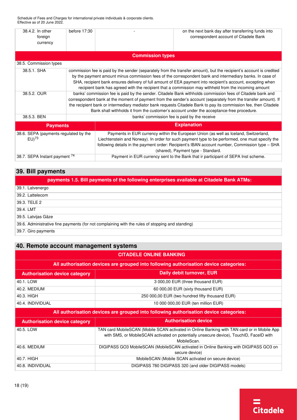| 38.4.2. In other<br>foreign<br>currency                      | before 17:30                                                                                                                                                                                                                                                                                                                                                                                                                                           |                         | on the next bank day after transferring funds into<br>correspondent account of Citadele Bank                                                                                                                                                                                                                                    |
|--------------------------------------------------------------|--------------------------------------------------------------------------------------------------------------------------------------------------------------------------------------------------------------------------------------------------------------------------------------------------------------------------------------------------------------------------------------------------------------------------------------------------------|-------------------------|---------------------------------------------------------------------------------------------------------------------------------------------------------------------------------------------------------------------------------------------------------------------------------------------------------------------------------|
|                                                              |                                                                                                                                                                                                                                                                                                                                                                                                                                                        | <b>Commission types</b> |                                                                                                                                                                                                                                                                                                                                 |
| 38.5. Commission types                                       |                                                                                                                                                                                                                                                                                                                                                                                                                                                        |                         |                                                                                                                                                                                                                                                                                                                                 |
| 38.5.1. SHA                                                  | commission fee is paid by the sender (separately from the transfer amount), but the recipient's account is credited<br>by the payment amount minus commission fees of the correspondent bank and intermediary banks. In case of<br>SHA, recipient bank ensures delivery of full amount of EEA payment into recipient's account, excepting when<br>recipient bank has agreed with the recipient that a commission may withheld from the incoming amount |                         |                                                                                                                                                                                                                                                                                                                                 |
| 38.5.2. OUR                                                  | banks' commission fee is paid by the sender. Citadele Bank withholds commission fees of Citadele bank and<br>correspondent bank at the moment of payment from the sender's account (separately from the transfer amount). If<br>the recipient bank or intermediary mediator bank requests Citadele Bank to pay its commission fee, then Citadele<br>Bank shall withholds it from the customer's account under the acceptance-free procedure.           |                         |                                                                                                                                                                                                                                                                                                                                 |
| 38.5.3. BEN                                                  | banks' commission fee is paid by the receive                                                                                                                                                                                                                                                                                                                                                                                                           |                         |                                                                                                                                                                                                                                                                                                                                 |
| <b>Payments</b>                                              |                                                                                                                                                                                                                                                                                                                                                                                                                                                        | <b>Explanation</b>      |                                                                                                                                                                                                                                                                                                                                 |
| 38.6. SEPA (payments regulated by the<br>$EU)$ <sup>73</sup> |                                                                                                                                                                                                                                                                                                                                                                                                                                                        |                         | Payments in EUR currency within the European Union (as well as Iceland, Switzerland,<br>Liechtenstein and Norway). In order for such payment type to be performed, one must specify the<br>following details in the payment order: Recipient's IBAN account number, Commission type – SHA<br>(shared), Payment type - Standard. |
| 38.7. SEPA Instant payment <sup>74</sup>                     |                                                                                                                                                                                                                                                                                                                                                                                                                                                        |                         | Payment in EUR currency sent to the Bank that ir participant of SEPA Inst scheme.                                                                                                                                                                                                                                               |

#### <span id="page-17-1"></span><span id="page-17-0"></span>**39. Bill payments**

| payments 1.5. Bill payments of the following enterprises available at Citadele Bank ATMs:        |
|--------------------------------------------------------------------------------------------------|
| 39.1. Latvenergo                                                                                 |
| 39.2. Lattelecom                                                                                 |
| 39.3. TELE 2                                                                                     |
| 39.4. LMT                                                                                        |
| 39.5. Latvijas Gāze                                                                              |
| 39.6. Administrative fine payments (for not complaining with the rules of stopping and standing) |
| 39.7. Giro payments                                                                              |

#### **40. Remote account management systems**

#### **CITADELE ONLINE BANKING**

#### **All authorisation devices are grouped into following authorisation device categories:**

| <b>Authorisation device category</b> | Daily debit turnover, EUR                       |  |
|--------------------------------------|-------------------------------------------------|--|
| 40.1. LOW                            | 3 000,00 EUR (three thousand EUR)               |  |
| 40.2. MEDIUM                         | 60 000,00 EUR (sixty thousand EUR)              |  |
| 40.3. HIGH                           | 250 000,00 EUR (two hundred fifty thousand EUR) |  |
| 40.4. INDIVIDUAL                     | 10 000 000,00 EUR (ten million EUR)             |  |

**All authorisation devices are grouped into following authorisation device categories:**

| <b>Authorisation device category</b> | <b>Authorisation device</b>                                                                           |
|--------------------------------------|-------------------------------------------------------------------------------------------------------|
| 40.5. LOW                            | TAN card MobileSCAN (Mobile SCAN activated in Online Banking with TAN card or in Mobile App           |
|                                      | with SMS, or MobileSCAN activated on potentially unsecure device), TouchID, FaceID with<br>MobileScan |
| 40.6. MEDIUM                         | DIGIPASS GO3 MobileSCAN (MobileSCAN activated in Online Banking with DIGIPASS GO3 on                  |
|                                      | secure device)                                                                                        |
| 40.7. HIGH                           | MobileSCAN (Mobile SCAN activated on secure device)                                                   |
| 40.8. INDIVIDUAL                     | DIGIPASS 780 DIGIPASS 320 (and older DIGIPASS models)                                                 |